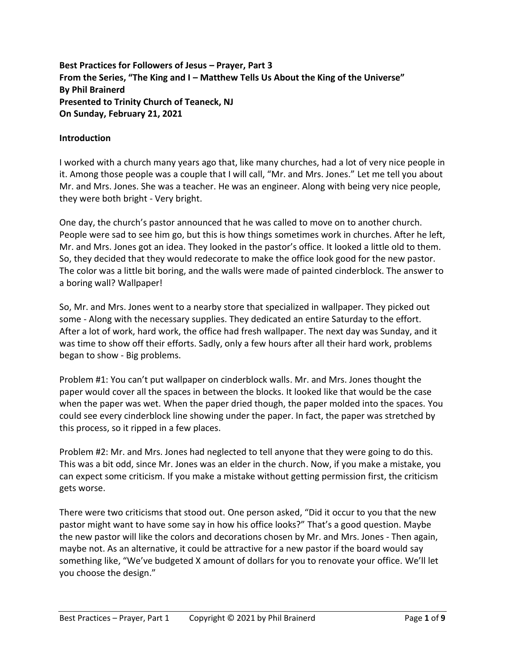**Best Practices for Followers of Jesus – Prayer, Part 3 From the Series, "The King and I – Matthew Tells Us About the King of the Universe" By Phil Brainerd Presented to Trinity Church of Teaneck, NJ On Sunday, February 21, 2021**

#### **Introduction**

I worked with a church many years ago that, like many churches, had a lot of very nice people in it. Among those people was a couple that I will call, "Mr. and Mrs. Jones." Let me tell you about Mr. and Mrs. Jones. She was a teacher. He was an engineer. Along with being very nice people, they were both bright - Very bright.

One day, the church's pastor announced that he was called to move on to another church. People were sad to see him go, but this is how things sometimes work in churches. After he left, Mr. and Mrs. Jones got an idea. They looked in the pastor's office. It looked a little old to them. So, they decided that they would redecorate to make the office look good for the new pastor. The color was a little bit boring, and the walls were made of painted cinderblock. The answer to a boring wall? Wallpaper!

So, Mr. and Mrs. Jones went to a nearby store that specialized in wallpaper. They picked out some - Along with the necessary supplies. They dedicated an entire Saturday to the effort. After a lot of work, hard work, the office had fresh wallpaper. The next day was Sunday, and it was time to show off their efforts. Sadly, only a few hours after all their hard work, problems began to show - Big problems.

Problem #1: You can't put wallpaper on cinderblock walls. Mr. and Mrs. Jones thought the paper would cover all the spaces in between the blocks. It looked like that would be the case when the paper was wet. When the paper dried though, the paper molded into the spaces. You could see every cinderblock line showing under the paper. In fact, the paper was stretched by this process, so it ripped in a few places.

Problem #2: Mr. and Mrs. Jones had neglected to tell anyone that they were going to do this. This was a bit odd, since Mr. Jones was an elder in the church. Now, if you make a mistake, you can expect some criticism. If you make a mistake without getting permission first, the criticism gets worse.

There were two criticisms that stood out. One person asked, "Did it occur to you that the new pastor might want to have some say in how his office looks?" That's a good question. Maybe the new pastor will like the colors and decorations chosen by Mr. and Mrs. Jones - Then again, maybe not. As an alternative, it could be attractive for a new pastor if the board would say something like, "We've budgeted X amount of dollars for you to renovate your office. We'll let you choose the design."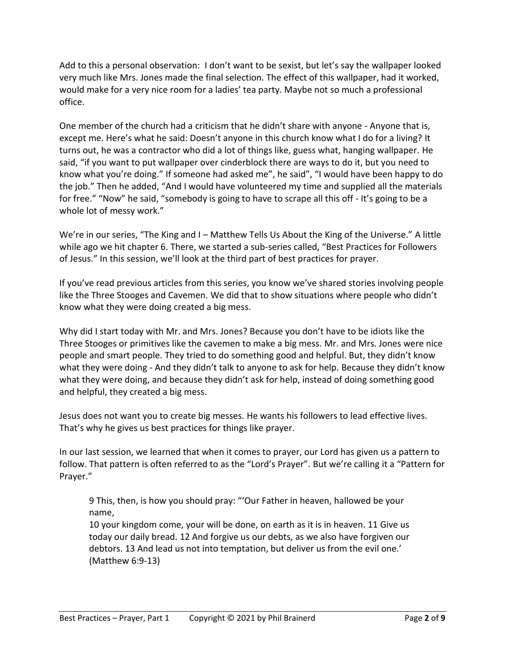Add to this a personal observation: I don't want to be sexist, but let's say the wallpaper looked very much like Mrs. Jones made the final selection. The effect of this wallpaper, had it worked, would make for a very nice room for a ladies' tea party. Maybe not so much a professional office.

One member of the church had a criticism that he didn't share with anyone - Anyone that is, except me. Here's what he said: Doesn't anyone in this church know what I do for a living? It turns out, he was a contractor who did a lot of things like, guess what, hanging wallpaper. He said, "if you want to put wallpaper over cinderblock there are ways to do it, but you need to know what you're doing." If someone had asked me", he said", "I would have been happy to do the job." Then he added, "And I would have volunteered my time and supplied all the materials for free." "Now" he said, "somebody is going to have to scrape all this off - It's going to be a whole lot of messy work."

We're in our series, "The King and I – Matthew Tells Us About the King of the Universe." A little while ago we hit chapter 6. There, we started a sub-series called, "Best Practices for Followers of Jesus." In this session, we'll look at the third part of best practices for prayer.

If you've read previous articles from this series, you know we've shared stories involving people like the Three Stooges and Cavemen. We did that to show situations where people who didn't know what they were doing created a big mess.

Why did I start today with Mr. and Mrs. Jones? Because you don't have to be idiots like the Three Stooges or primitives like the cavemen to make a big mess. Mr. and Mrs. Jones were nice people and smart people. They tried to do something good and helpful. But, they didn't know what they were doing - And they didn't talk to anyone to ask for help. Because they didn't know what they were doing, and because they didn't ask for help, instead of doing something good and helpful, they created a big mess.

Jesus does not want you to create big messes. He wants his followers to lead effective lives. That's why he gives us best practices for things like prayer.

In our last session, we learned that when it comes to prayer, our Lord has given us a pattern to follow. That pattern is often referred to as the "Lord's Prayer". But we're calling it a "Pattern for Prayer."

9 This, then, is how you should pray: "'Our Father in heaven, hallowed be your name,

10 your kingdom come, your will be done, on earth as it is in heaven. 11 Give us today our daily bread. 12 And forgive us our debts, as we also have forgiven our debtors. 13 And lead us not into temptation, but deliver us from the evil one.' (Matthew 6:9-13)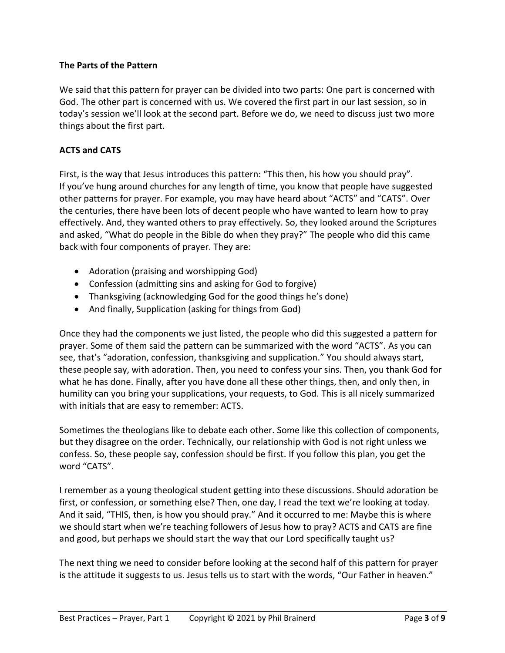# **The Parts of the Pattern**

We said that this pattern for prayer can be divided into two parts: One part is concerned with God. The other part is concerned with us. We covered the first part in our last session, so in today's session we'll look at the second part. Before we do, we need to discuss just two more things about the first part.

#### **ACTS and CATS**

First, is the way that Jesus introduces this pattern: "This then, his how you should pray". If you've hung around churches for any length of time, you know that people have suggested other patterns for prayer. For example, you may have heard about "ACTS" and "CATS". Over the centuries, there have been lots of decent people who have wanted to learn how to pray effectively. And, they wanted others to pray effectively. So, they looked around the Scriptures and asked, "What do people in the Bible do when they pray?" The people who did this came back with four components of prayer. They are:

- Adoration (praising and worshipping God)
- Confession (admitting sins and asking for God to forgive)
- Thanksgiving (acknowledging God for the good things he's done)
- And finally, Supplication (asking for things from God)

Once they had the components we just listed, the people who did this suggested a pattern for prayer. Some of them said the pattern can be summarized with the word "ACTS". As you can see, that's "adoration, confession, thanksgiving and supplication." You should always start, these people say, with adoration. Then, you need to confess your sins. Then, you thank God for what he has done. Finally, after you have done all these other things, then, and only then, in humility can you bring your supplications, your requests, to God. This is all nicely summarized with initials that are easy to remember: ACTS.

Sometimes the theologians like to debate each other. Some like this collection of components, but they disagree on the order. Technically, our relationship with God is not right unless we confess. So, these people say, confession should be first. If you follow this plan, you get the word "CATS".

I remember as a young theological student getting into these discussions. Should adoration be first, or confession, or something else? Then, one day, I read the text we're looking at today. And it said, "THIS, then, is how you should pray." And it occurred to me: Maybe this is where we should start when we're teaching followers of Jesus how to pray? ACTS and CATS are fine and good, but perhaps we should start the way that our Lord specifically taught us?

The next thing we need to consider before looking at the second half of this pattern for prayer is the attitude it suggests to us. Jesus tells us to start with the words, "Our Father in heaven."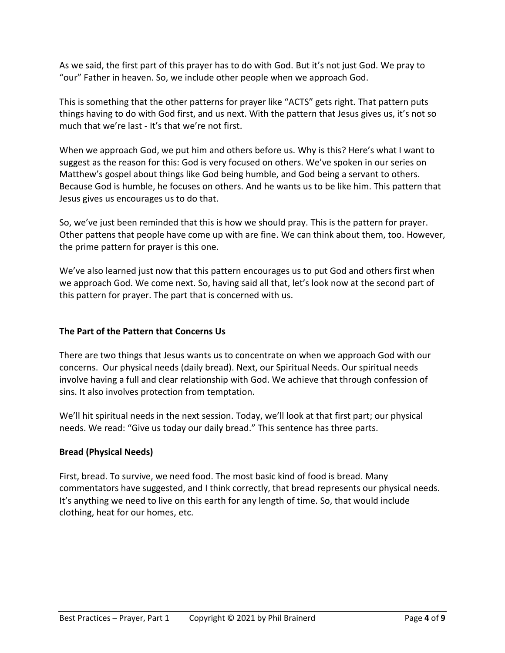As we said, the first part of this prayer has to do with God. But it's not just God. We pray to "our" Father in heaven. So, we include other people when we approach God.

This is something that the other patterns for prayer like "ACTS" gets right. That pattern puts things having to do with God first, and us next. With the pattern that Jesus gives us, it's not so much that we're last - It's that we're not first.

When we approach God, we put him and others before us. Why is this? Here's what I want to suggest as the reason for this: God is very focused on others. We've spoken in our series on Matthew's gospel about things like God being humble, and God being a servant to others. Because God is humble, he focuses on others. And he wants us to be like him. This pattern that Jesus gives us encourages us to do that.

So, we've just been reminded that this is how we should pray. This is the pattern for prayer. Other pattens that people have come up with are fine. We can think about them, too. However, the prime pattern for prayer is this one.

We've also learned just now that this pattern encourages us to put God and others first when we approach God. We come next. So, having said all that, let's look now at the second part of this pattern for prayer. The part that is concerned with us.

# **The Part of the Pattern that Concerns Us**

There are two things that Jesus wants us to concentrate on when we approach God with our concerns. Our physical needs (daily bread). Next, our Spiritual Needs. Our spiritual needs involve having a full and clear relationship with God. We achieve that through confession of sins. It also involves protection from temptation.

We'll hit spiritual needs in the next session. Today, we'll look at that first part; our physical needs. We read: "Give us today our daily bread." This sentence has three parts.

# **Bread (Physical Needs)**

First, bread. To survive, we need food. The most basic kind of food is bread. Many commentators have suggested, and I think correctly, that bread represents our physical needs. It's anything we need to live on this earth for any length of time. So, that would include clothing, heat for our homes, etc.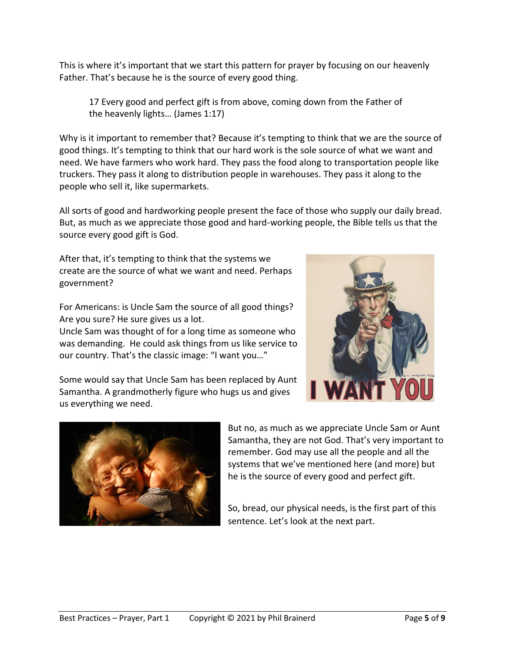This is where it's important that we start this pattern for prayer by focusing on our heavenly Father. That's because he is the source of every good thing.

17 Every good and perfect gift is from above, coming down from the Father of the heavenly lights… (James 1:17)

Why is it important to remember that? Because it's tempting to think that we are the source of good things. It's tempting to think that our hard work is the sole source of what we want and need. We have farmers who work hard. They pass the food along to transportation people like truckers. They pass it along to distribution people in warehouses. They pass it along to the people who sell it, like supermarkets.

All sorts of good and hardworking people present the face of those who supply our daily bread. But, as much as we appreciate those good and hard-working people, the Bible tells us that the source every good gift is God.

After that, it's tempting to think that the systems we create are the source of what we want and need. Perhaps government?

For Americans: is Uncle Sam the source of all good things? Are you sure? He sure gives us a lot.

Uncle Sam was thought of for a long time as someone who was demanding. He could ask things from us like service to our country. That's the classic image: "I want you…"



Some would say that Uncle Sam has been replaced by Aunt Samantha. A grandmotherly figure who hugs us and gives us everything we need.



But no, as much as we appreciate Uncle Sam or Aunt Samantha, they are not God. That's very important to remember. God may use all the people and all the systems that we've mentioned here (and more) but he is the source of every good and perfect gift.

So, bread, our physical needs, is the first part of this sentence. Let's look at the next part.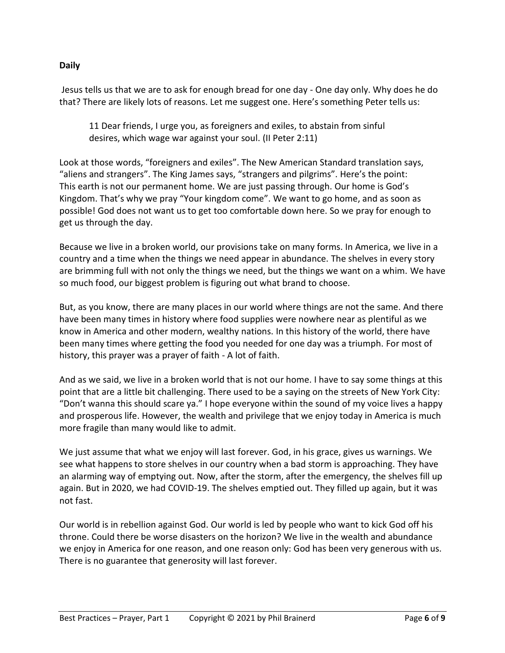# **Daily**

Jesus tells us that we are to ask for enough bread for one day - One day only. Why does he do that? There are likely lots of reasons. Let me suggest one. Here's something Peter tells us:

11 Dear friends, I urge you, as foreigners and exiles, to abstain from sinful desires, which wage war against your soul. (II Peter 2:11)

Look at those words, "foreigners and exiles". The New American Standard translation says, "aliens and strangers". The King James says, "strangers and pilgrims". Here's the point: This earth is not our permanent home. We are just passing through. Our home is God's Kingdom. That's why we pray "Your kingdom come". We want to go home, and as soon as possible! God does not want us to get too comfortable down here. So we pray for enough to get us through the day.

Because we live in a broken world, our provisions take on many forms. In America, we live in a country and a time when the things we need appear in abundance. The shelves in every story are brimming full with not only the things we need, but the things we want on a whim. We have so much food, our biggest problem is figuring out what brand to choose.

But, as you know, there are many places in our world where things are not the same. And there have been many times in history where food supplies were nowhere near as plentiful as we know in America and other modern, wealthy nations. In this history of the world, there have been many times where getting the food you needed for one day was a triumph. For most of history, this prayer was a prayer of faith - A lot of faith.

And as we said, we live in a broken world that is not our home. I have to say some things at this point that are a little bit challenging. There used to be a saying on the streets of New York City: "Don't wanna this should scare ya." I hope everyone within the sound of my voice lives a happy and prosperous life. However, the wealth and privilege that we enjoy today in America is much more fragile than many would like to admit.

We just assume that what we enjoy will last forever. God, in his grace, gives us warnings. We see what happens to store shelves in our country when a bad storm is approaching. They have an alarming way of emptying out. Now, after the storm, after the emergency, the shelves fill up again. But in 2020, we had COVID-19. The shelves emptied out. They filled up again, but it was not fast.

Our world is in rebellion against God. Our world is led by people who want to kick God off his throne. Could there be worse disasters on the horizon? We live in the wealth and abundance we enjoy in America for one reason, and one reason only: God has been very generous with us. There is no guarantee that generosity will last forever.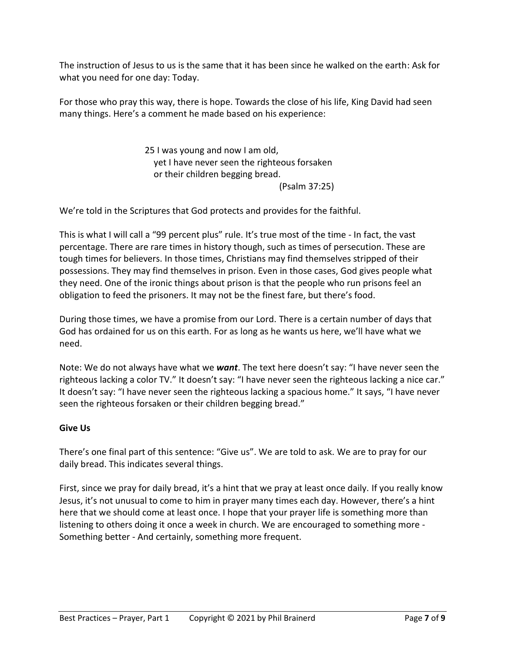The instruction of Jesus to us is the same that it has been since he walked on the earth: Ask for what you need for one day: Today.

For those who pray this way, there is hope. Towards the close of his life, King David had seen many things. Here's a comment he made based on his experience:

> 25 I was young and now I am old, yet I have never seen the righteous forsaken or their children begging bread. (Psalm 37:25)

We're told in the Scriptures that God protects and provides for the faithful.

This is what I will call a "99 percent plus" rule. It's true most of the time - In fact, the vast percentage. There are rare times in history though, such as times of persecution. These are tough times for believers. In those times, Christians may find themselves stripped of their possessions. They may find themselves in prison. Even in those cases, God gives people what they need. One of the ironic things about prison is that the people who run prisons feel an obligation to feed the prisoners. It may not be the finest fare, but there's food.

During those times, we have a promise from our Lord. There is a certain number of days that God has ordained for us on this earth. For as long as he wants us here, we'll have what we need.

Note: We do not always have what we *want*. The text here doesn't say: "I have never seen the righteous lacking a color TV." It doesn't say: "I have never seen the righteous lacking a nice car." It doesn't say: "I have never seen the righteous lacking a spacious home." It says, "I have never seen the righteous forsaken or their children begging bread."

# **Give Us**

There's one final part of this sentence: "Give us". We are told to ask. We are to pray for our daily bread. This indicates several things.

First, since we pray for daily bread, it's a hint that we pray at least once daily. If you really know Jesus, it's not unusual to come to him in prayer many times each day. However, there's a hint here that we should come at least once. I hope that your prayer life is something more than listening to others doing it once a week in church. We are encouraged to something more - Something better - And certainly, something more frequent.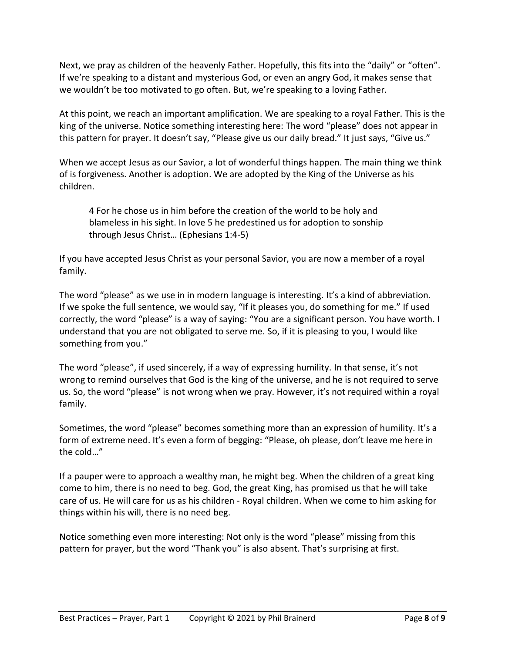Next, we pray as children of the heavenly Father. Hopefully, this fits into the "daily" or "often". If we're speaking to a distant and mysterious God, or even an angry God, it makes sense that we wouldn't be too motivated to go often. But, we're speaking to a loving Father.

At this point, we reach an important amplification. We are speaking to a royal Father. This is the king of the universe. Notice something interesting here: The word "please" does not appear in this pattern for prayer. It doesn't say, "Please give us our daily bread." It just says, "Give us."

When we accept Jesus as our Savior, a lot of wonderful things happen. The main thing we think of is forgiveness. Another is adoption. We are adopted by the King of the Universe as his children.

4 For he chose us in him before the creation of the world to be holy and blameless in his sight. In love 5 he predestined us for adoption to sonship through Jesus Christ… (Ephesians 1:4-5)

If you have accepted Jesus Christ as your personal Savior, you are now a member of a royal family.

The word "please" as we use in in modern language is interesting. It's a kind of abbreviation. If we spoke the full sentence, we would say, "If it pleases you, do something for me." If used correctly, the word "please" is a way of saying: "You are a significant person. You have worth. I understand that you are not obligated to serve me. So, if it is pleasing to you, I would like something from you."

The word "please", if used sincerely, if a way of expressing humility. In that sense, it's not wrong to remind ourselves that God is the king of the universe, and he is not required to serve us. So, the word "please" is not wrong when we pray. However, it's not required within a royal family.

Sometimes, the word "please" becomes something more than an expression of humility. It's a form of extreme need. It's even a form of begging: "Please, oh please, don't leave me here in the cold…"

If a pauper were to approach a wealthy man, he might beg. When the children of a great king come to him, there is no need to beg. God, the great King, has promised us that he will take care of us. He will care for us as his children - Royal children. When we come to him asking for things within his will, there is no need beg.

Notice something even more interesting: Not only is the word "please" missing from this pattern for prayer, but the word "Thank you" is also absent. That's surprising at first.